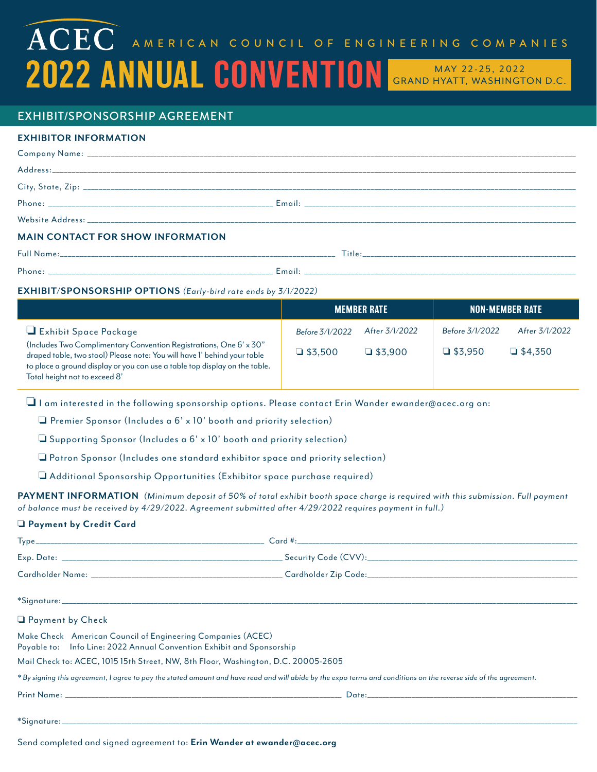# $\widehat{\mathbf{ACEC}}$  american council of engineering companies 2022 ANNUAL CONVENTION GRAND HYATT, WASHINGTON D.C.

## EXHIBIT/SPONSORSHIP AGREEMENT

## **EXHIBITOR INFORMATION**

| <b>MAIN CONTACT FOR SHOW INFORMATION</b> |  |
|------------------------------------------|--|
|                                          |  |
|                                          |  |

## **EXHIBIT/SPONSORSHIP OPTIONS** (Early-bird rate ends by 3/1/2022)

|                                                                                                                                                                                         |                 | <b>MEMBER RATE</b> |                 | <b>NON-MEMBER RATE</b> |
|-----------------------------------------------------------------------------------------------------------------------------------------------------------------------------------------|-----------------|--------------------|-----------------|------------------------|
| $\Box$ Exhibit Space Package<br>(Includes Two Complimentary Convention Registrations, One 6' x 30"                                                                                      | Before 3/1/2022 | After 3/1/2022     | Before 3/1/2022 | After 3/1/2022         |
| draped table, two stool) Please note: You will have I' behind your table<br>to place a ground display or you can use a table top display on the table.<br>Total height not to exceed 8' | $\Box$ \$3,500  | $\Box$ \$3,900     | $\Box$ \$3.950  | $\Box$ \$4.350         |

 $\Box$  I am interested in the following sponsorship options. Please contact Erin Wander ewander@acec.org on:

 $\Box$  Premier Sponsor (Includes a 6' x 10' booth and priority selection)

 $\Box$  Supporting Sponsor (Includes a  $6' \times 10'$  booth and priority selection)

 $\Box$  Patron Sponsor (Includes one standard exhibitor space and priority selection)

 $\Box$  Additional Sponsorship Opportunities (Exhibitor space purchase required)

PAYMENT INFORMATION (Minimum deposit of 50% of total exhibit booth space charge is required with this submission. Full payment of balance must be received by 4/29/2022. Agreement submitted after 4/29/2022 requires payment in full.)

#### o **Payment by Credit Card**

| <b>Q</b> Payment by Check                                                                                                                                        |  |  |
|------------------------------------------------------------------------------------------------------------------------------------------------------------------|--|--|
| Make Check American Council of Engineering Companies (ACEC)<br>Payable to: Info Line: 2022 Annual Convention Exhibit and Sponsorship                             |  |  |
| Mail Check to: ACEC, 1015 15th Street, NW, 8th Floor, Washington, D.C. 20005-2605                                                                                |  |  |
| *By signing this agreement, I agree to pay the stated amount and have read and will abide by the expo terms and conditions on the reverse side of the agreement. |  |  |
|                                                                                                                                                                  |  |  |
|                                                                                                                                                                  |  |  |

Send completed and signed agreement to: **Erin Wander at ewander@acec.org**